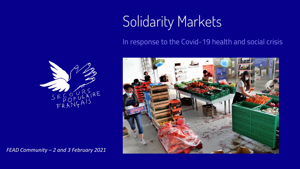# Solidarity Markets

#### In response to the Covid-19 health and social crisis



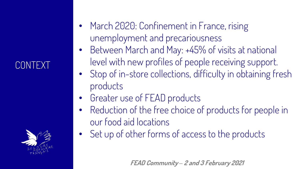### CONTEXT



- March 2020: Confinement in France, rising unemployment and precariousness
- Between March and May: +45% of visits at national level with new profiles of people receiving support.
- Stop of in-store collections, difficulty in obtaining fresh products
- Greater use of FEAD products
- Reduction of the free choice of products for people in our food aid locations
- Set up of other forms of access to the products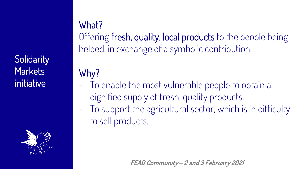**Solidarity Markets** initiative



What? Offering fresh, quality, local products to the people being helped, in exchange of a symbolic contribution.

## Why?

- To enable the most vulnerable people to obtain a dignified supply of fresh, quality products. - To support the agricultural sector, which is in difficulty, to sell products.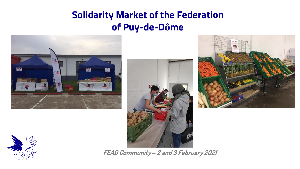### **Solidarity Market of the Federation of Puy-de-Dôme**







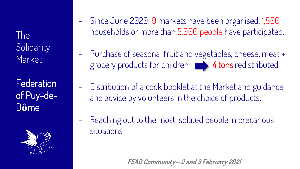The **Solidarity** Market

Federation of Puy-de-D**ô**me



- Since June 2020: 9 markets have been organised, 1,800 households or more than 5,000 people have participated.
- Purchase of seasonal fruit and vegetables, cheese, meat + grocery products for children 4 tons redistributed
	- Distribution of a cook booklet at the Market and guidance and advice by volunteers in the choice of products.
- Reaching out to the most isolated people in precarious situations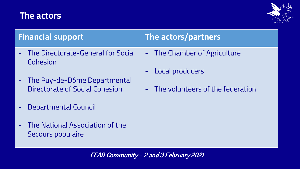#### **The actors**



| <b>Financial support</b>                                         | The actors/partners                                                                   |
|------------------------------------------------------------------|---------------------------------------------------------------------------------------|
| The Directorate-General for Social<br>$\sim$ .<br>Cohesion       | - The Chamber of Agriculture<br>Local producers<br>- The volunteers of the federation |
| - The Puy-de-Dôme Departmental<br>Directorate of Social Cohesion |                                                                                       |
| Departmental Council<br>÷                                        |                                                                                       |
| The National Association of the<br>$\equiv$<br>Secours populaire |                                                                                       |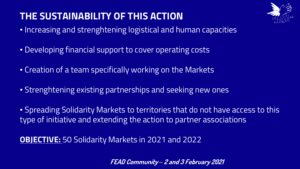## **THE SUSTAINABILITY OF THIS ACTION**



- Increasing and strenghtening logistical and human capacities
- Developing financial support to cover operating costs
- Creation of a team specifically working on the Markets
- Strenghtening existing partnerships and seeking new ones

• Spreading Solidarity Markets to territories that do not have access to this type of initiative and extending the action to partner associations

**OBJECTIVE:** 50 Solidarity Markets in 2021 and 2022